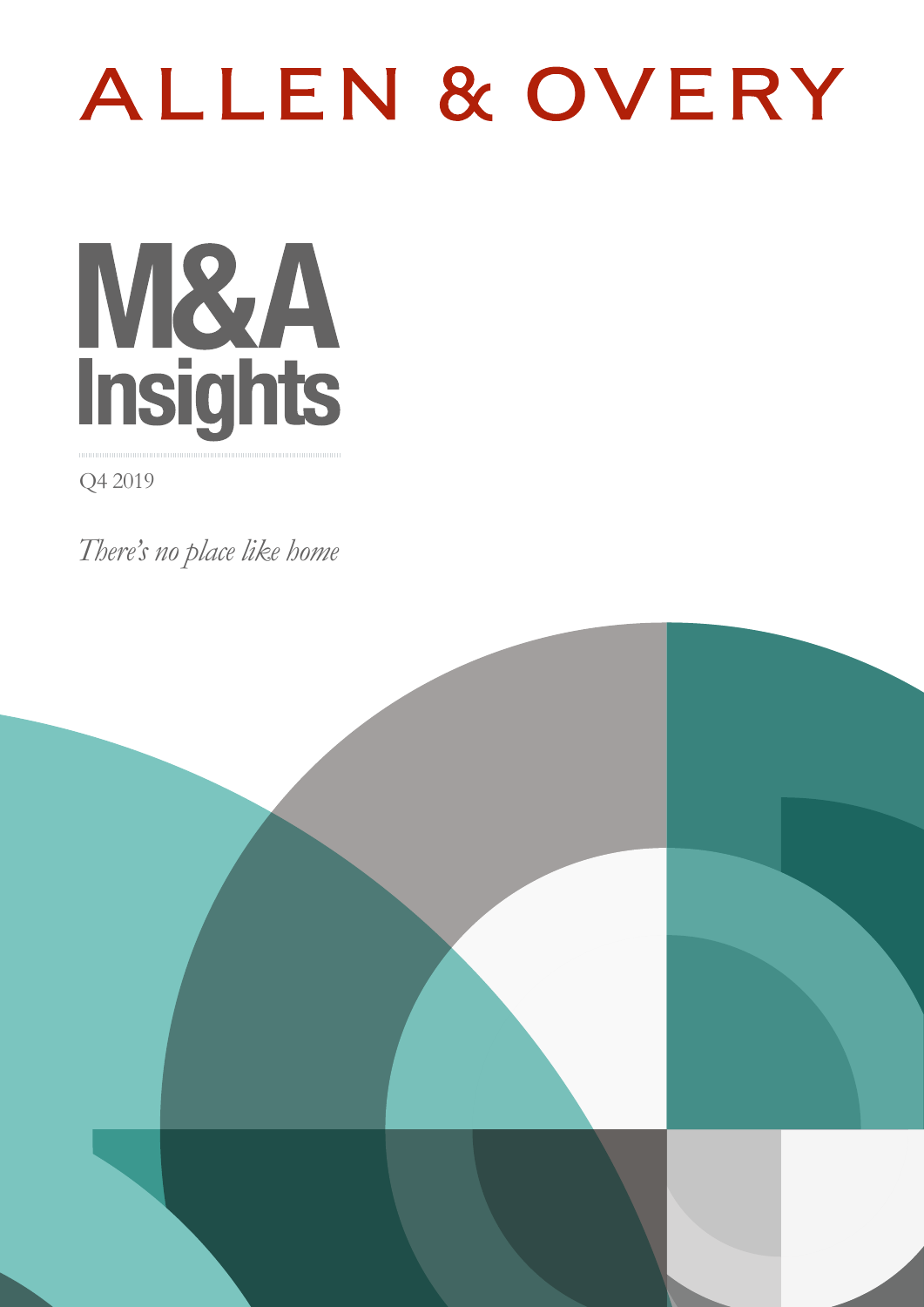# ALLEN & OVERY

# **M&A**<br>Insights

Q4 2019

*There's no place like home*

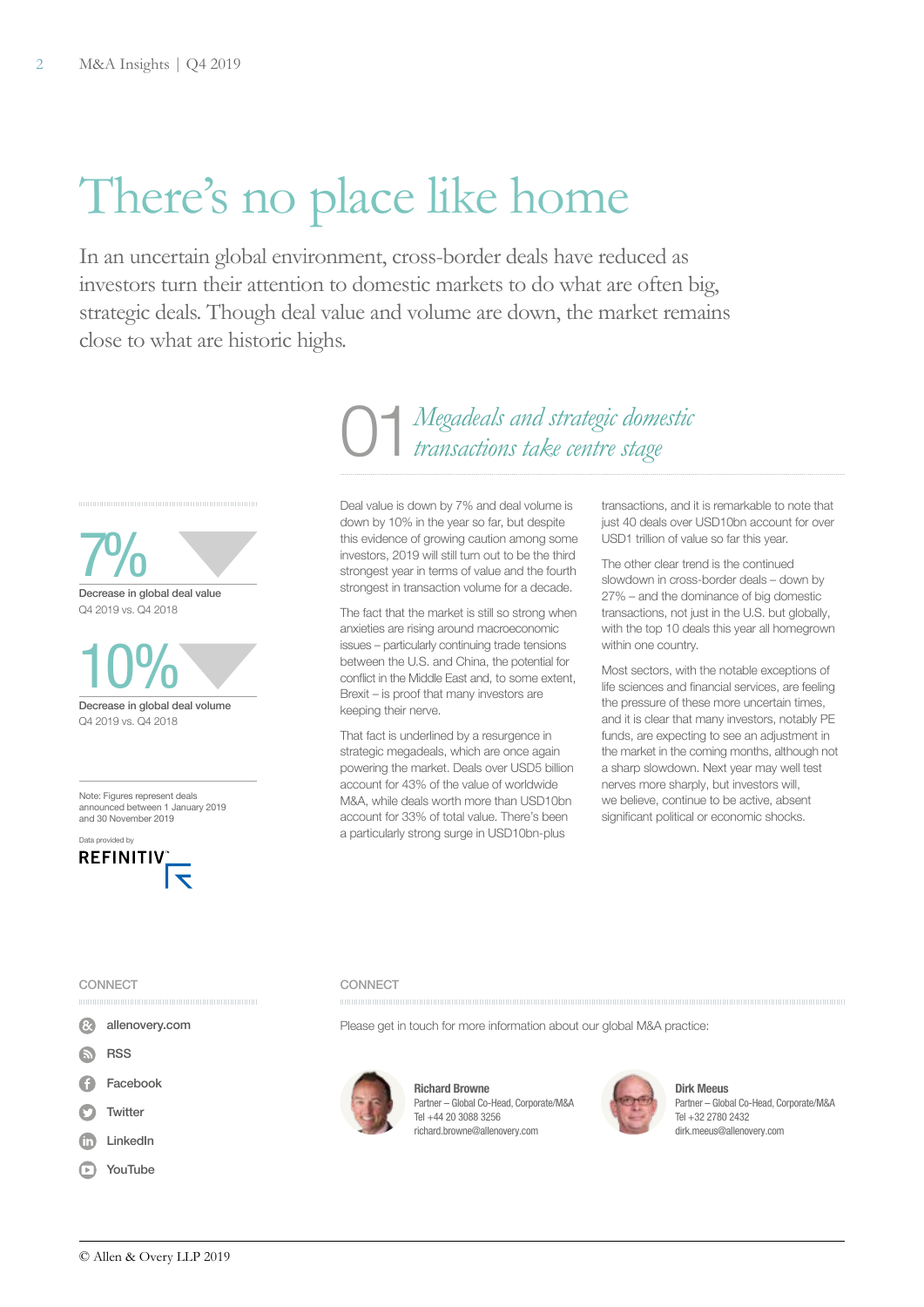## There's no place like home

In an uncertain global environment, cross-border deals have reduced as investors turn their attention to domestic markets to do what are often big, strategic deals. Though deal value and volume are down, the market remains close to what are historic highs.

01*Megadeals and strategic domestic transactions take centre stage*

Deal value is down by 7% and deal volume is down by 10% in the year so far, but despite this evidence of growing caution among some investors, 2019 will still turn out to be the third strongest year in terms of value and the fourth strongest in transaction volume for a decade.

The fact that the market is still so strong when anxieties are rising around macroeconomic issues – particularly continuing trade tensions between the U.S. and China, the potential for conflict in the Middle East and, to some extent, Brexit – is proof that many investors are keeping their nerve.

That fact is underlined by a resurgence in strategic megadeals, which are once again powering the market. Deals over USD5 billion account for 43% of the value of worldwide M&A, while deals worth more than USD10bn account for 33% of total value. There's been a particularly strong surge in USD10bn-plus

transactions, and it is remarkable to note that just 40 deals over USD10bn account for over USD1 trillion of value so far this year.

The other clear trend is the continued slowdown in cross-border deals – down by 27% – and the dominance of big domestic transactions, not just in the U.S. but globally, with the top 10 deals this year all homegrown within one country.

Most sectors, with the notable exceptions of life sciences and financial services, are feeling the pressure of these more uncertain times, and it is clear that many investors, notably PE funds, are expecting to see an adjustment in the market in the coming months, although not a sharp slowdown. Next year may well test nerves more sharply, but investors will, we believe, continue to be active, absent significant political or economic shocks.

#### CONNECT

Please get in touch for more information about our global M&A practice:



Richard Browne Partner – Global Co-Head, Corporate/M&A Tel +44 20 3088 3256 richard.browne@allenovery.com



Dirk Meeus Partner – Global Co-Head, Corporate/M&A Tel +32 2780 2432 dirk.meeus@allenovery.com

#### **CONNECT**

Data provided by

**REFINITIV** 

7%

Note: Figures represent deals announced between 1 January 2019 and 30 November 2019

10%

Q4 2019 vs. Q4 2018

Decrease in global deal value Q4 2019 vs. Q4 2018

Decrease in global deal volume

- allenovery.com
- **RSS**
- Facebook
- **Twitter**
- LinkedIn
- YouTube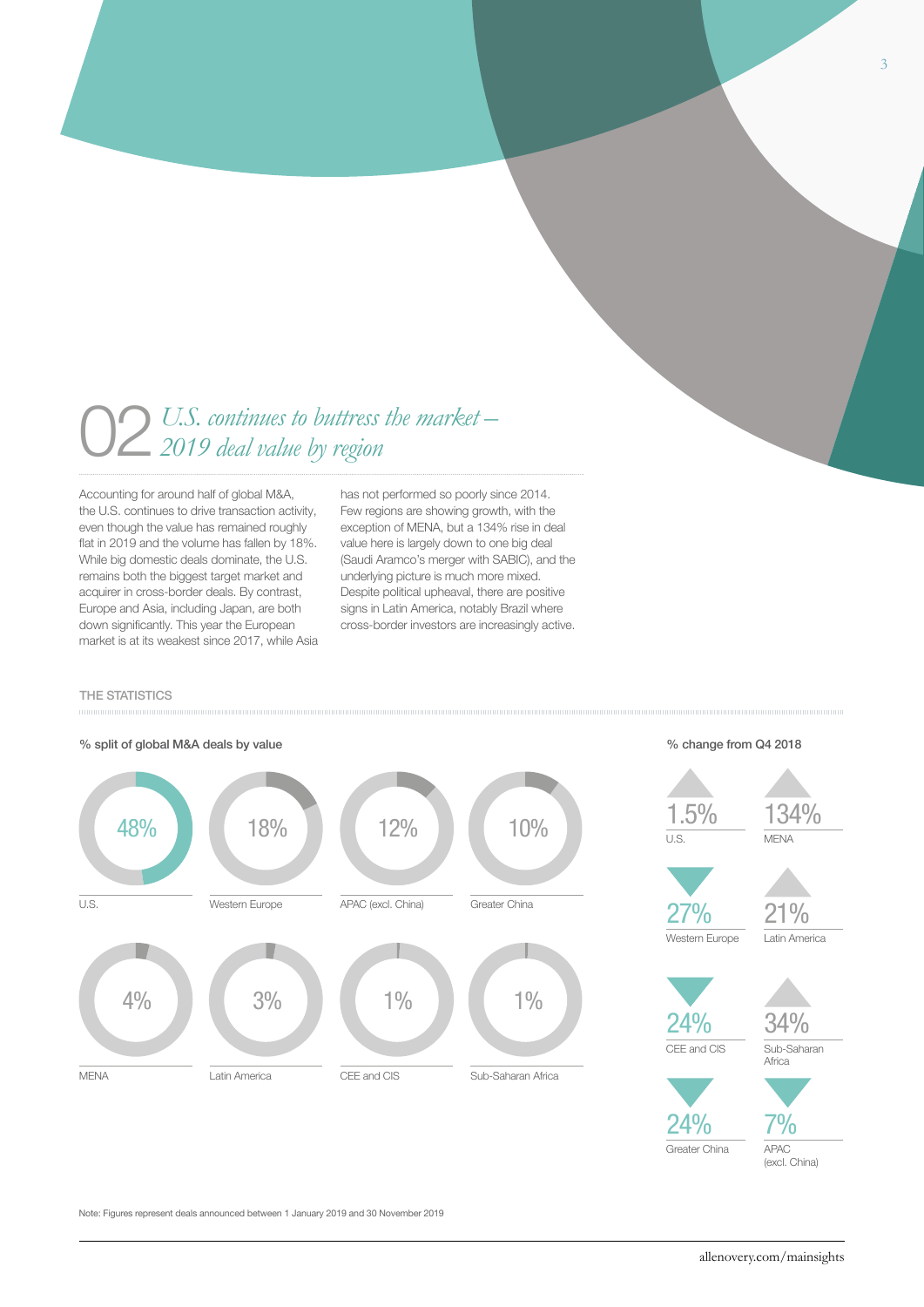#### 02 *U.S. continues to buttress the market – 2019 deal value by region*

Accounting for around half of global M&A, the U.S. continues to drive transaction activity, even though the value has remained roughly flat in 2019 and the volume has fallen by 18%. While big domestic deals dominate, the U.S. remains both the biggest target market and acquirer in cross-border deals. By contrast, Europe and Asia, including Japan, are both down significantly. This year the European market is at its weakest since 2017, while Asia has not performed so poorly since 2014. Few regions are showing growth, with the exception of MENA, but a 134% rise in deal value here is largely down to one big deal (Saudi Aramco's merger with SABIC), and the underlying picture is much more mixed. Despite political upheaval, there are positive signs in Latin America, notably Brazil where cross-border investors are increasingly active.

#### THE STATISTICS



Note: Figures represent deals announced between 1 January 2019 and 30 November 2019

allenovery.com/mainsights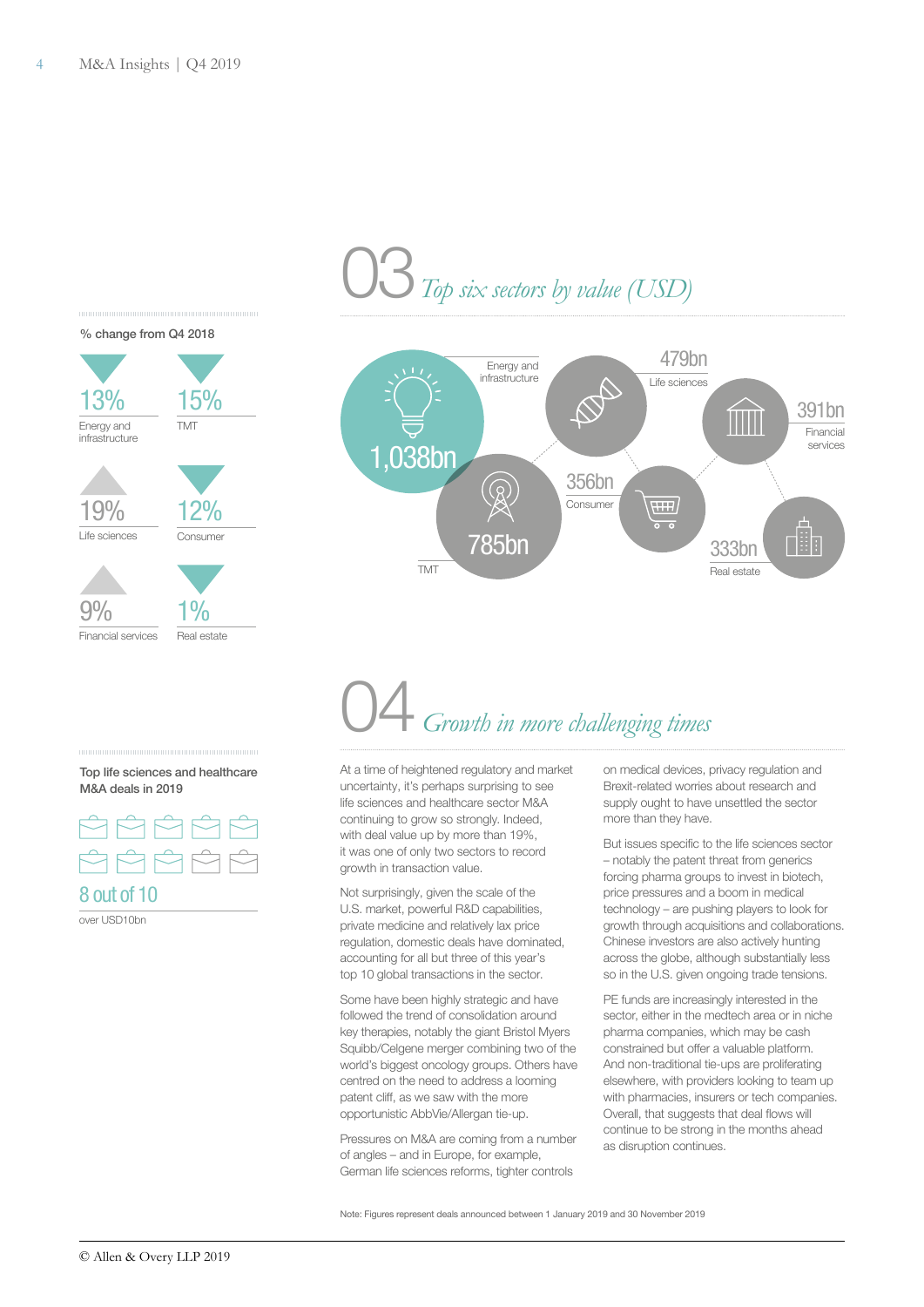



# 04 *Growth in more challenging times*

At a time of heightened regulatory and market uncertainty, it's perhaps surprising to see life sciences and healthcare sector M&A continuing to grow so strongly. Indeed, with deal value up by more than 19%, it was one of only two sectors to record growth in transaction value.

Not surprisingly, given the scale of the U.S. market, powerful R&D capabilities, private medicine and relatively lax price regulation, domestic deals have dominated, accounting for all but three of this year's top 10 global transactions in the sector.

Some have been highly strategic and have followed the trend of consolidation around key therapies, notably the giant Bristol Myers Squibb/Celgene merger combining two of the world's biggest oncology groups. Others have centred on the need to address a looming patent cliff, as we saw with the more opportunistic AbbVie/Allergan tie-up.

Pressures on M&A are coming from a number of angles – and in Europe, for example, German life sciences reforms, tighter controls

on medical devices, privacy regulation and Brexit-related worries about research and supply ought to have unsettled the sector more than they have.

But issues specific to the life sciences sector – notably the patent threat from generics forcing pharma groups to invest in biotech, price pressures and a boom in medical technology – are pushing players to look for growth through acquisitions and collaborations. Chinese investors are also actively hunting across the globe, although substantially less so in the U.S. given ongoing trade tensions.

PE funds are increasingly interested in the sector, either in the medtech area or in niche pharma companies, which may be cash constrained but offer a valuable platform. And non-traditional tie-ups are proliferating elsewhere, with providers looking to team up with pharmacies, insurers or tech companies. Overall, that suggests that deal flows will continue to be strong in the months ahead as disruption continues.

Note: Figures represent deals announced between 1 January 2019 and 30 November 2019



% change from Q4 2018







 $9\%$ 

Financial services Real estate

Top life sciences and healthcare M&A deals in 2019



over USD10bn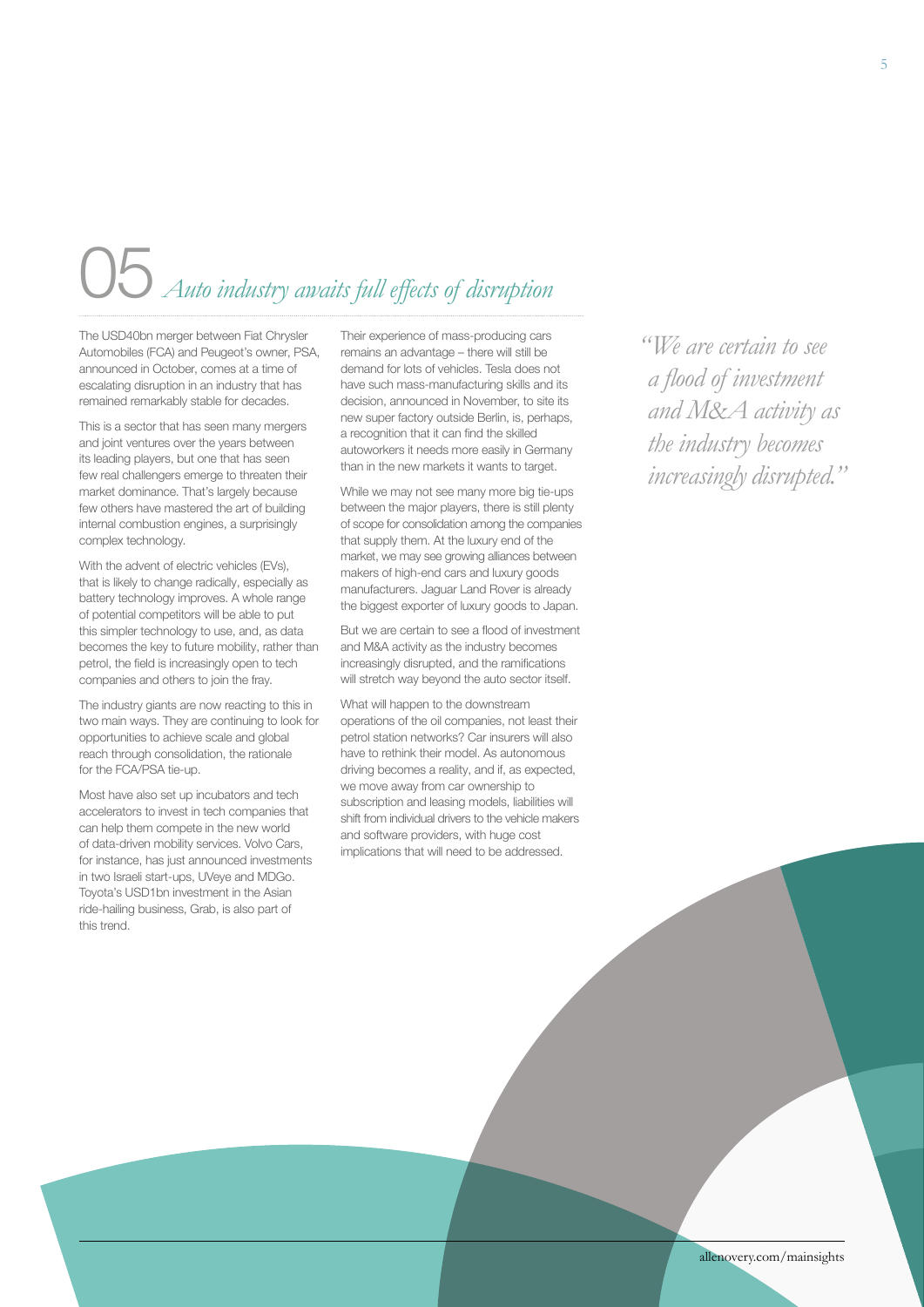# 05 *Auto industry awaits full effects of disruption*

The USD40bn merger between Fiat Chrysler Automobiles (FCA) and Peugeot's owner, PSA, announced in October, comes at a time of escalating disruption in an industry that has remained remarkably stable for decades.

This is a sector that has seen many mergers and joint ventures over the years between its leading players, but one that has seen few real challengers emerge to threaten their market dominance. That's largely because few others have mastered the art of building internal combustion engines, a surprisingly complex technology.

With the advent of electric vehicles (EVs), that is likely to change radically, especially as battery technology improves. A whole range of potential competitors will be able to put this simpler technology to use, and, as data becomes the key to future mobility, rather than petrol, the field is increasingly open to tech companies and others to join the fray.

The industry giants are now reacting to this in two main ways. They are continuing to look for opportunities to achieve scale and global reach through consolidation, the rationale for the FCA/PSA tie-up.

Most have also set up incubators and tech accelerators to invest in tech companies that can help them compete in the new world of data-driven mobility services. Volvo Cars, for instance, has just announced investments in two Israeli start-ups, UVeye and MDGo. Toyota's USD1bn investment in the Asian ride-hailing business, Grab, is also part of this trend.

Their experience of mass-producing cars remains an advantage – there will still be demand for lots of vehicles. Tesla does not have such mass-manufacturing skills and its decision, announced in November, to site its new super factory outside Berlin, is, perhaps, a recognition that it can find the skilled autoworkers it needs more easily in Germany than in the new markets it wants to target.

While we may not see many more big tie-ups between the major players, there is still plenty of scope for consolidation among the companies that supply them. At the luxury end of the market, we may see growing alliances between makers of high-end cars and luxury goods manufacturers. Jaguar Land Rover is already the biggest exporter of luxury goods to Japan.

But we are certain to see a flood of investment and M&A activity as the industry becomes increasingly disrupted, and the ramifications will stretch way beyond the auto sector itself.

What will happen to the downstream operations of the oil companies, not least their petrol station networks? Car insurers will also have to rethink their model. As autonomous driving becomes a reality, and if, as expected, we move away from car ownership to subscription and leasing models, liabilities will shift from individual drivers to the vehicle makers and software providers, with huge cost implications that will need to be addressed.

*"We are certain to see a flood of investment and M&A activity as the industry becomes increasingly disrupted."*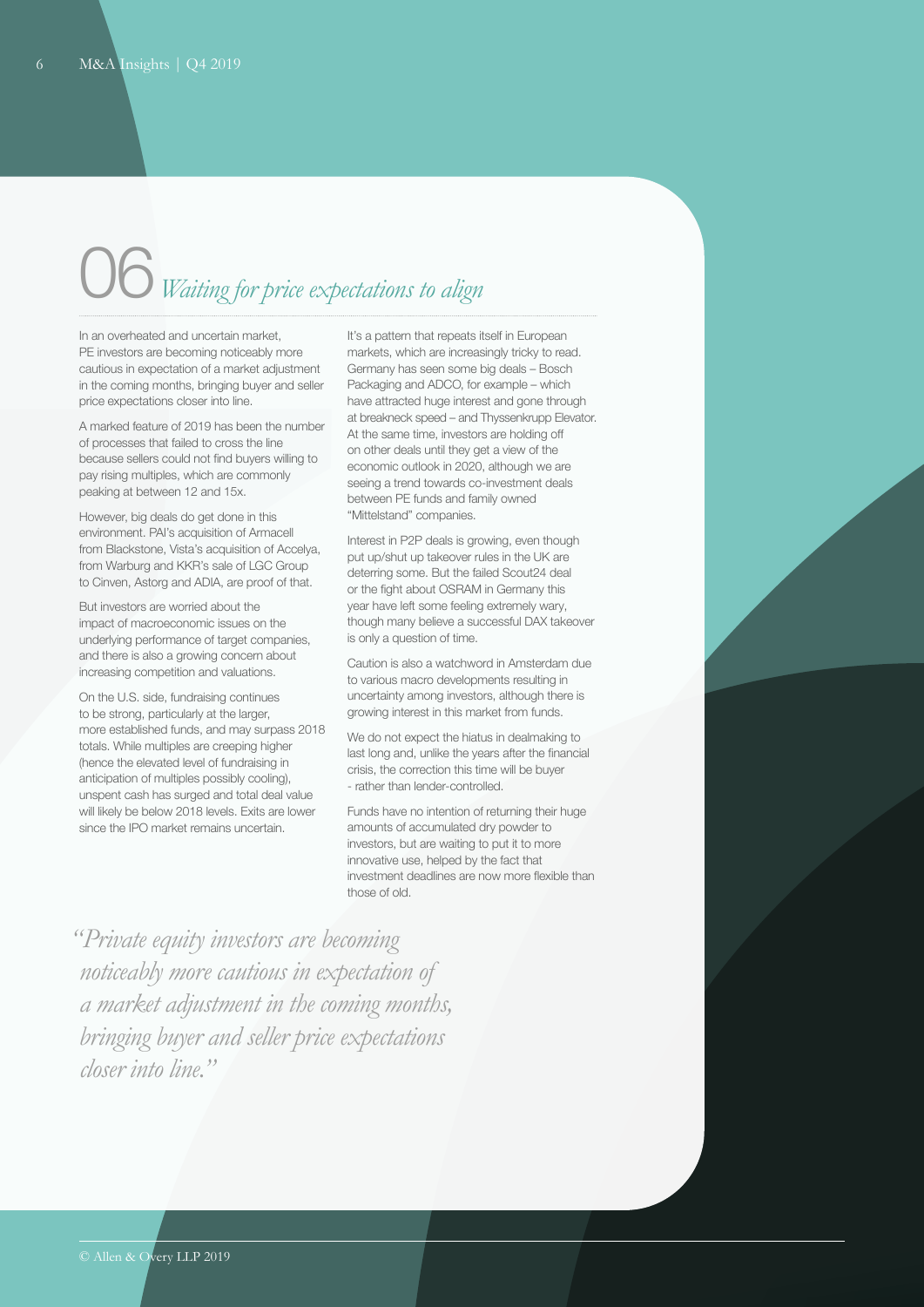6

# 06 *Waiting for price expectations to align*

In an overheated and uncertain market, PE investors are becoming noticeably more cautious in expectation of a market adjustment in the coming months, bringing buyer and seller price expectations closer into line.

A marked feature of 2019 has been the number of processes that failed to cross the line because sellers could not find buyers willing to pay rising multiples, which are commonly peaking at between 12 and 15x.

However, big deals do get done in this environment. PAI's acquisition of Armacell from Blackstone, Vista's acquisition of Accelya, from Warburg and KKR's sale of LGC Group to Cinven, Astorg and ADIA, are proof of that.

But investors are worried about the impact of macroeconomic issues on the underlying performance of target companies, and there is also a growing concern about increasing competition and valuations.

On the U.S. side, fundraising continues to be strong, particularly at the larger, more established funds, and may surpass 2018 totals. While multiples are creeping higher (hence the elevated level of fundraising in anticipation of multiples possibly cooling), unspent cash has surged and total deal value will likely be below 2018 levels. Exits are lower since the IPO market remains uncertain.

It's a pattern that repeats itself in European markets, which are increasingly tricky to read. Germany has seen some big deals – Bosch Packaging and ADCO, for example – which have attracted huge interest and gone through at breakneck speed – and Thyssenkrupp Elevator. At the same time, investors are holding off on other deals until they get a view of the economic outlook in 2020, although we are seeing a trend towards co-investment deals between PE funds and family owned "Mittelstand" companies.

Interest in P2P deals is growing, even though put up/shut up takeover rules in the UK are deterring some. But the failed Scout24 deal or the fight about OSRAM in Germany this year have left some feeling extremely wary, though many believe a successful DAX takeover is only a question of time.

Caution is also a watchword in Amsterdam due to various macro developments resulting in uncertainty among investors, although there is growing interest in this market from funds.

We do not expect the hiatus in dealmaking to last long and, unlike the years after the financial crisis, the correction this time will be buyer - rather than lender-controlled.

Funds have no intention of returning their huge amounts of accumulated dry powder to investors, but are waiting to put it to more innovative use, helped by the fact that investment deadlines are now more flexible than those of old.

*"Private equity investors are becoming noticeably more cautious in expectation of a market adjustment in the coming months, bringing buyer and seller price expectations closer into line."*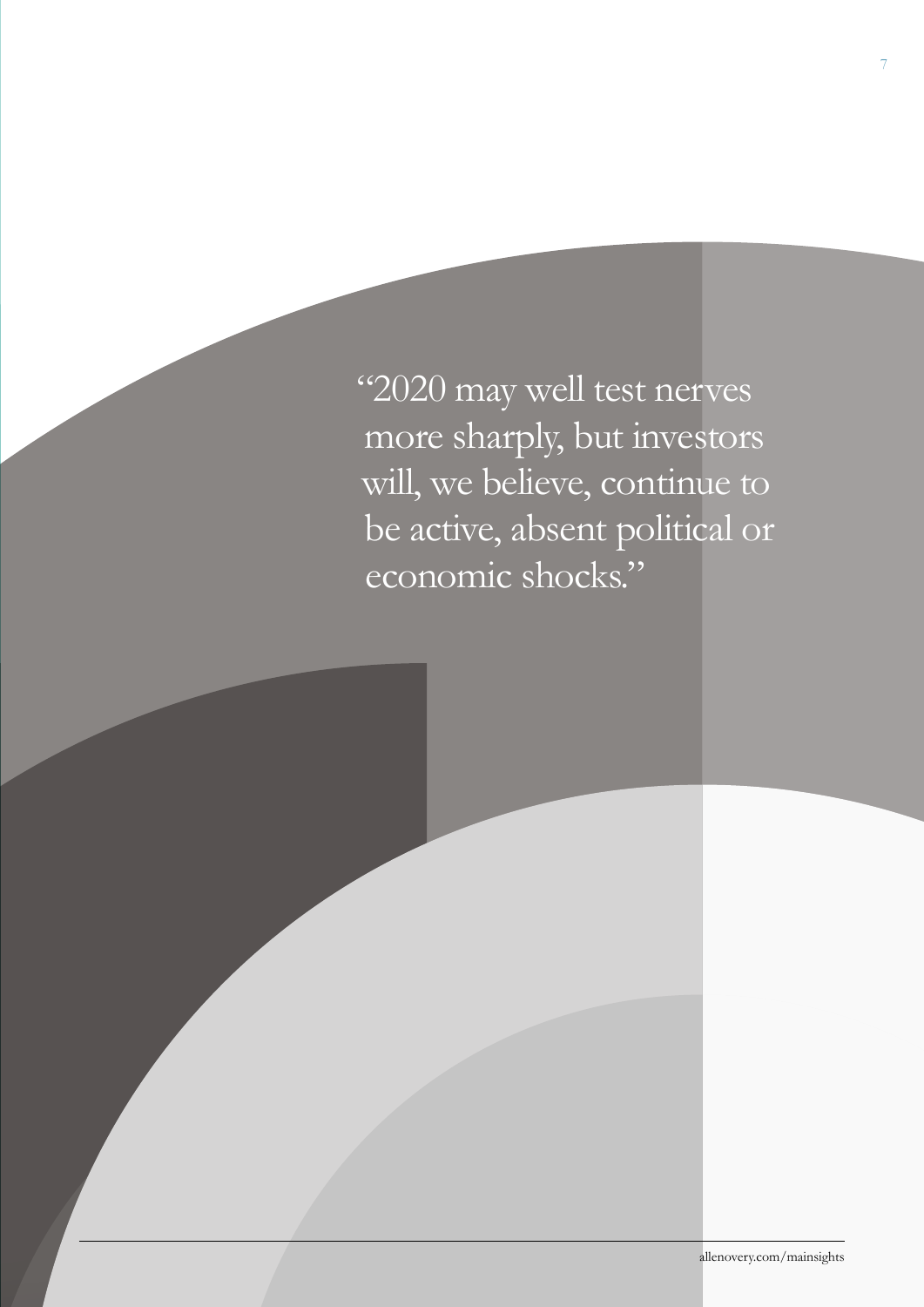"2020 may well test nerves more sharply, but investors will, we believe, continue to be active, absent political or economic shocks."

7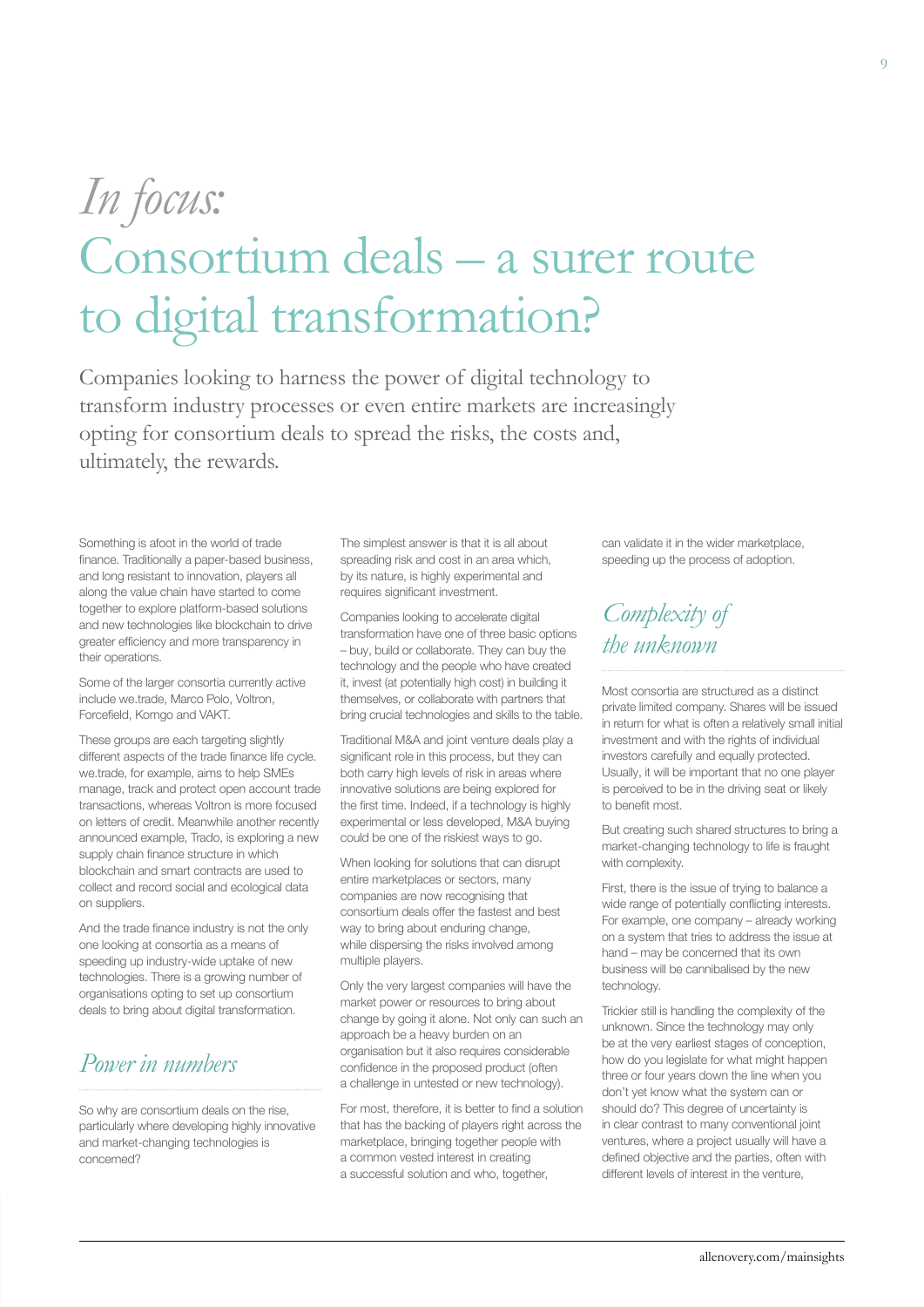## *In focus:* Consortium deals – a surer route to digital transformation?

Companies looking to harness the power of digital technology to transform industry processes or even entire markets are increasingly opting for consortium deals to spread the risks, the costs and, ultimately, the rewards.

Something is afoot in the world of trade finance. Traditionally a paper-based business, and long resistant to innovation, players all along the value chain have started to come together to explore platform-based solutions and new technologies like blockchain to drive greater efficiency and more transparency in their operations.

Some of the larger consortia currently active include we.trade, Marco Polo, Voltron, Forcefield, Komgo and VAKT.

These groups are each targeting slightly different aspects of the trade finance life cycle. we.trade, for example, aims to help SMEs manage, track and protect open account trade transactions, whereas Voltron is more focused on letters of credit. Meanwhile another recently announced example, Trado, is exploring a new supply chain finance structure in which blockchain and smart contracts are used to collect and record social and ecological data on suppliers.

And the trade finance industry is not the only one looking at consortia as a means of speeding up industry-wide uptake of new technologies. There is a growing number of organisations opting to set up consortium deals to bring about digital transformation.

#### *Power in numbers*

So why are consortium deals on the rise, particularly where developing highly innovative and market-changing technologies is concerned?

The simplest answer is that it is all about spreading risk and cost in an area which, by its nature, is highly experimental and requires significant investment.

Companies looking to accelerate digital transformation have one of three basic options – buy, build or collaborate. They can buy the technology and the people who have created it, invest (at potentially high cost) in building it themselves, or collaborate with partners that bring crucial technologies and skills to the table.

Traditional M&A and joint venture deals play a significant role in this process, but they can both carry high levels of risk in areas where innovative solutions are being explored for the first time. Indeed, if a technology is highly experimental or less developed, M&A buying could be one of the riskiest ways to go.

When looking for solutions that can disrupt entire marketplaces or sectors, many companies are now recognising that consortium deals offer the fastest and best way to bring about enduring change, while dispersing the risks involved among multiple players.

Only the very largest companies will have the market power or resources to bring about change by going it alone. Not only can such an approach be a heavy burden on an organisation but it also requires considerable confidence in the proposed product (often a challenge in untested or new technology).

For most, therefore, it is better to find a solution that has the backing of players right across the marketplace, bringing together people with a common vested interest in creating a successful solution and who, together,

can validate it in the wider marketplace, speeding up the process of adoption.

#### *Complexity of the unknown*

Most consortia are structured as a distinct private limited company. Shares will be issued in return for what is often a relatively small initial investment and with the rights of individual investors carefully and equally protected. Usually, it will be important that no one player is perceived to be in the driving seat or likely to benefit most.

But creating such shared structures to bring a market-changing technology to life is fraught with complexity.

First, there is the issue of trying to balance a wide range of potentially conflicting interests. For example, one company – already working on a system that tries to address the issue at hand – may be concerned that its own business will be cannibalised by the new technology.

Trickier still is handling the complexity of the unknown. Since the technology may only be at the very earliest stages of conception, how do you legislate for what might happen three or four years down the line when you don't yet know what the system can or should do? This degree of uncertainty is in clear contrast to many conventional joint ventures, where a project usually will have a defined objective and the parties, often with different levels of interest in the venture,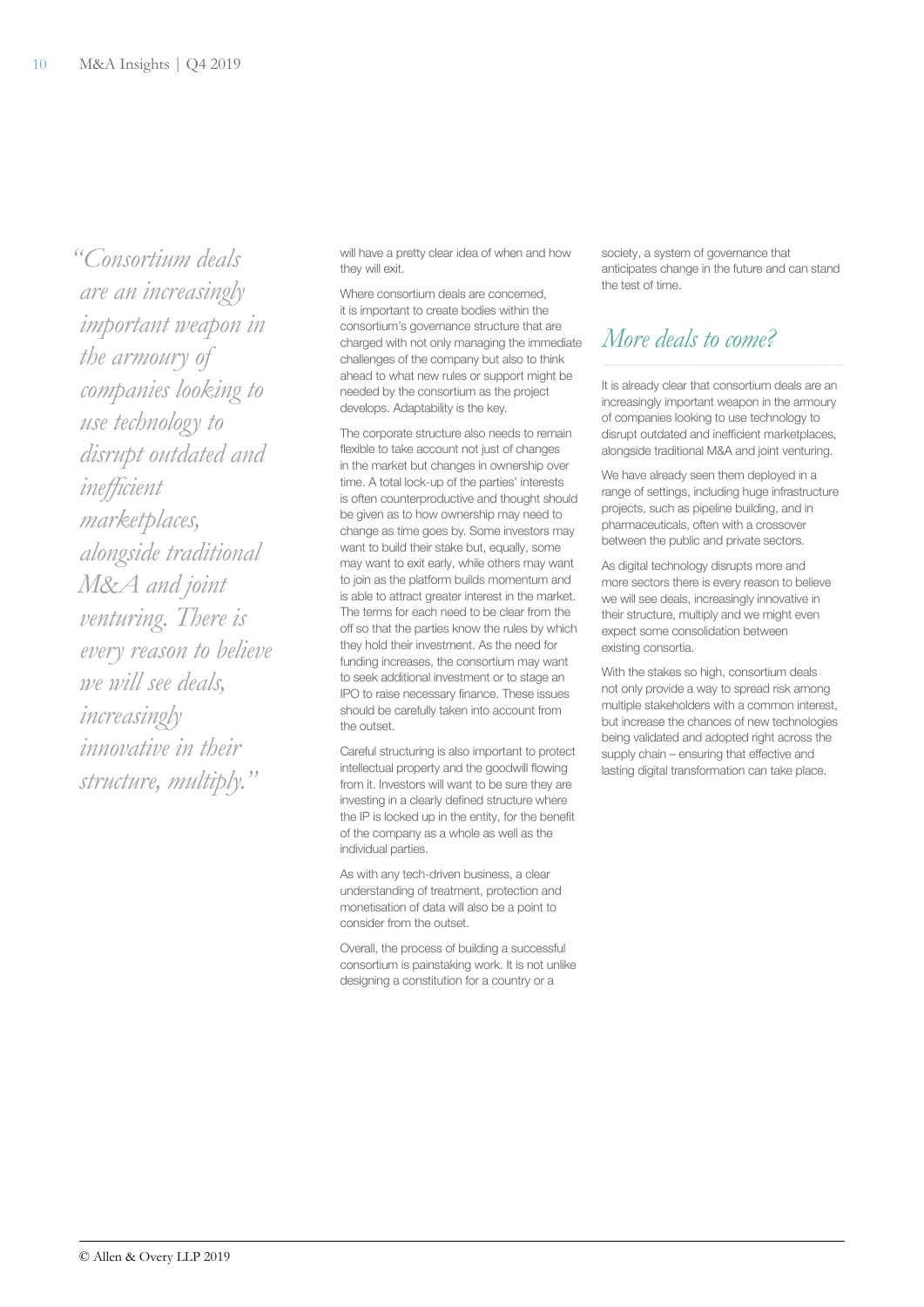*"Consortium deals are an increasingly important weapon in the armoury of companies looking to use technology to disrupt outdated and inefficient marketplaces, alongside traditional M&A and joint venturing. There is every reason to believe we will see deals, increasingly innovative in their structure, multiply."*

will have a pretty clear idea of when and how they will exit.

Where consortium deals are concerned. it is important to create bodies within the consortium's governance structure that are charged with not only managing the immediate challenges of the company but also to think ahead to what new rules or support might be needed by the consortium as the project develops. Adaptability is the key.

The corporate structure also needs to remain flexible to take account not just of changes in the market but changes in ownership over time. A total lock-up of the parties' interests is often counterproductive and thought should be given as to how ownership may need to change as time goes by. Some investors may want to build their stake but, equally, some may want to exit early, while others may want to join as the platform builds momentum and is able to attract greater interest in the market. The terms for each need to be clear from the off so that the parties know the rules by which they hold their investment. As the need for funding increases, the consortium may want to seek additional investment or to stage an IPO to raise necessary finance. These issues should be carefully taken into account from the outset.

Careful structuring is also important to protect intellectual property and the goodwill flowing from it. Investors will want to be sure they are investing in a clearly defined structure where the IP is locked up in the entity, for the benefit of the company as a whole as well as the individual parties.

As with any tech-driven business, a clear understanding of treatment, protection and monetisation of data will also be a point to consider from the outset.

Overall, the process of building a successful consortium is painstaking work. It is not unlike designing a constitution for a country or a

society, a system of governance that anticipates change in the future and can stand the test of time.

#### *More deals to come?*

It is already clear that consortium deals are an increasingly important weapon in the armoury of companies looking to use technology to disrupt outdated and inefficient marketplaces, alongside traditional M&A and joint venturing.

We have already seen them deployed in a range of settings, including huge infrastructure projects, such as pipeline building, and in pharmaceuticals, often with a crossover between the public and private sectors.

As digital technology disrupts more and more sectors there is every reason to believe we will see deals, increasingly innovative in their structure, multiply and we might even expect some consolidation between existing consortia.

With the stakes so high, consortium deals not only provide a way to spread risk among multiple stakeholders with a common interest, but increase the chances of new technologies being validated and adopted right across the supply chain – ensuring that effective and lasting digital transformation can take place.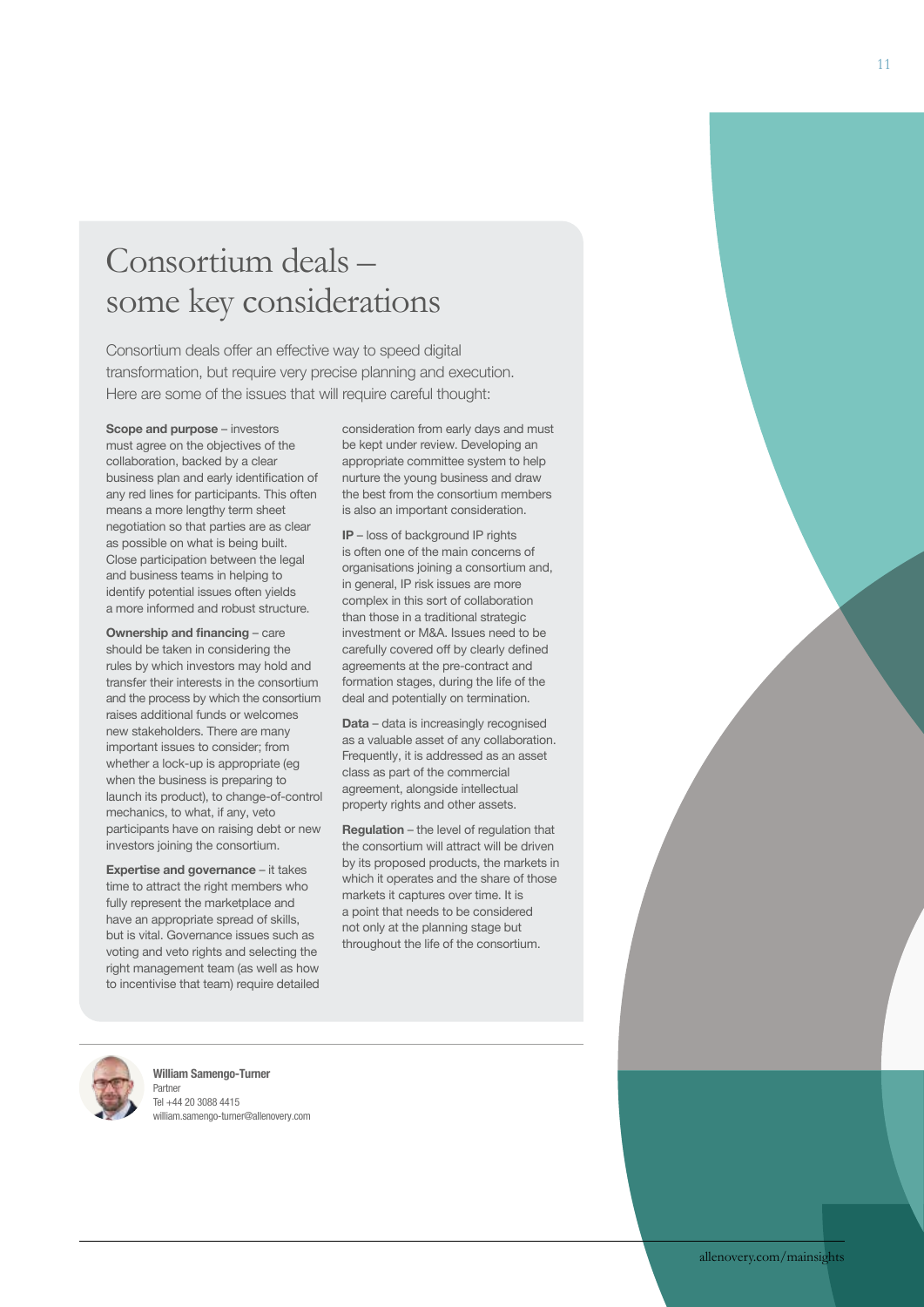#### Consortium deals – some key considerations

Consortium deals offer an effective way to speed digital transformation, but require very precise planning and execution. Here are some of the issues that will require careful thought:

Scope and purpose – investors must agree on the objectives of the collaboration, backed by a clear business plan and early identification of any red lines for participants. This often means a more lengthy term sheet negotiation so that parties are as clear as possible on what is being built. Close participation between the legal and business teams in helping to identify potential issues often yields a more informed and robust structure.

Ownership and financing – care should be taken in considering the rules by which investors may hold and transfer their interests in the consortium and the process by which the consortium raises additional funds or welcomes new stakeholders. There are many important issues to consider; from whether a lock-up is appropriate (eg when the business is preparing to launch its product), to change-of-control mechanics, to what, if any, veto participants have on raising debt or new investors joining the consortium.

Expertise and governance – it takes time to attract the right members who fully represent the marketplace and have an appropriate spread of skills, but is vital. Governance issues such as voting and veto rights and selecting the right management team (as well as how to incentivise that team) require detailed

consideration from early days and must be kept under review. Developing an appropriate committee system to help nurture the young business and draw the best from the consortium members is also an important consideration.

IP – loss of background IP rights is often one of the main concerns of organisations joining a consortium and, in general, IP risk issues are more complex in this sort of collaboration than those in a traditional strategic investment or M&A. Issues need to be carefully covered off by clearly defined agreements at the pre-contract and formation stages, during the life of the deal and potentially on termination.

Data – data is increasingly recognised as a valuable asset of any collaboration. Frequently, it is addressed as an asset class as part of the commercial agreement, alongside intellectual property rights and other assets.

Regulation – the level of regulation that the consortium will attract will be driven by its proposed products, the markets in which it operates and the share of those markets it captures over time. It is a point that needs to be considered not only at the planning stage but throughout the life of the consortium.

William Samengo-Turner Partner Tel +44 20 3088 4415 william.samengo-turner@allenovery.com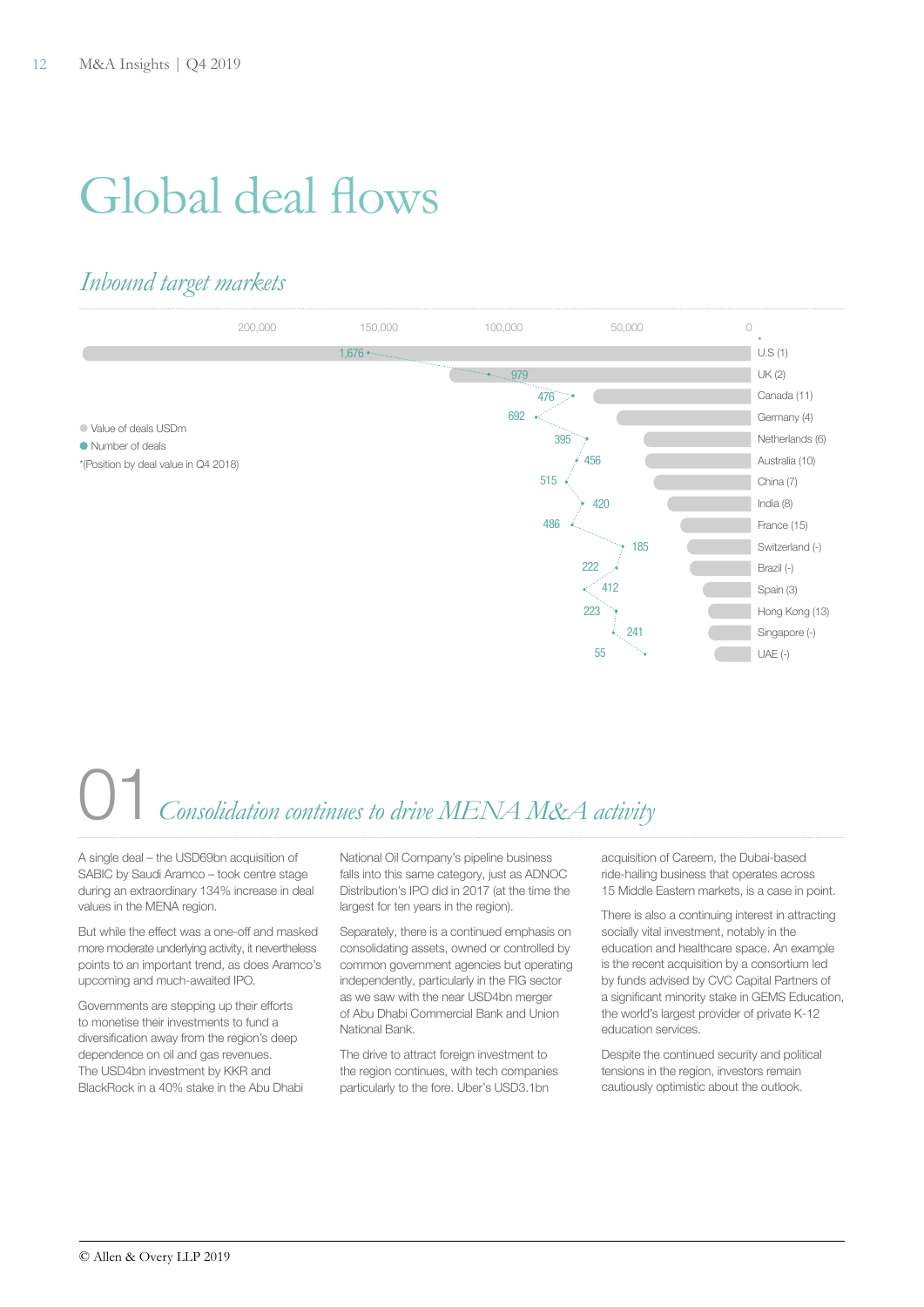## Global deal flows

#### *Inbound target markets*



### 01 *Consolidation continues to drive MENA M&A activity*

A single deal – the USD69bn acquisition of SABIC by Saudi Aramco – took centre stage during an extraordinary 134% increase in deal values in the MENA region.

But while the effect was a one-off and masked more moderate underlying activity, it nevertheless points to an important trend, as does Aramco's upcoming and much-awaited IPO.

Governments are stepping up their efforts to monetise their investments to fund a diversification away from the region's deep dependence on oil and gas revenues. The USD4bn investment by KKR and BlackRock in a 40% stake in the Abu Dhabi National Oil Company's pipeline business falls into this same category, just as ADNOC Distribution's IPO did in 2017 (at the time the largest for ten years in the region).

Separately, there is a continued emphasis on consolidating assets, owned or controlled by common government agencies but operating independently, particularly in the FIG sector as we saw with the near USD4bn merger of Abu Dhabi Commercial Bank and Union National Bank.

The drive to attract foreign investment to the region continues, with tech companies particularly to the fore. Uber's USD3.1bn

acquisition of Careem, the Dubai-based ride-hailing business that operates across 15 Middle Eastern markets, is a case in point.

There is also a continuing interest in attracting socially vital investment, notably in the education and healthcare space. An example is the recent acquisition by a consortium led by funds advised by CVC Capital Partners of a significant minority stake in GEMS Education, the world's largest provider of private K-12 education services.

Despite the continued security and political tensions in the region, investors remain cautiously optimistic about the outlook.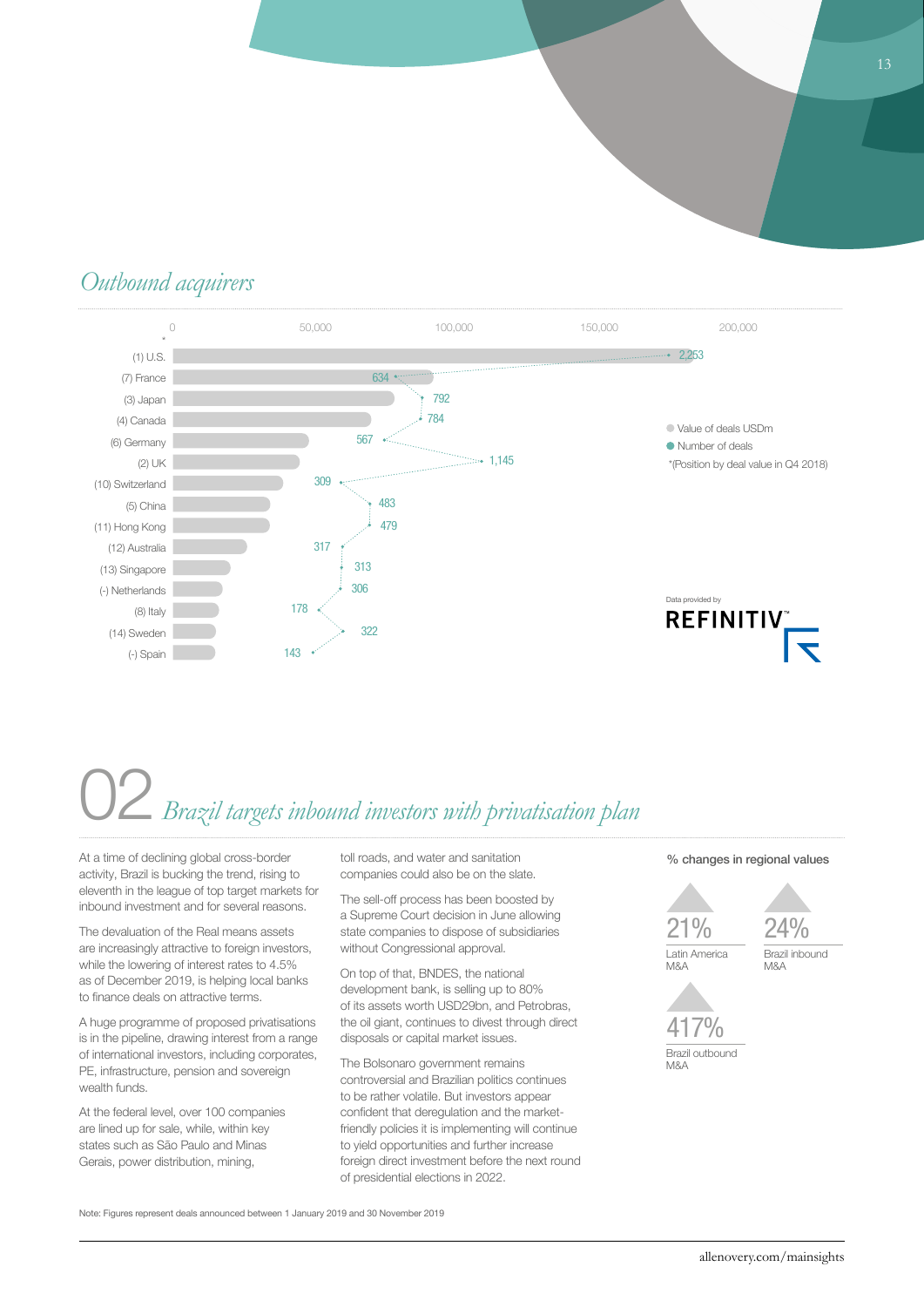



# 02 *Brazil targets inbound investors with privatisation plan*

At a time of declining global cross-border activity, Brazil is bucking the trend, rising to eleventh in the league of top target markets for inbound investment and for several reasons.

The devaluation of the Real means assets are increasingly attractive to foreign investors, while the lowering of interest rates to 4.5% as of December 2019, is helping local banks to finance deals on attractive terms.

A huge programme of proposed privatisations is in the pipeline, drawing interest from a range of international investors, including corporates, PE, infrastructure, pension and sovereign wealth funds.

At the federal level, over 100 companies are lined up for sale, while, within key states such as São Paulo and Minas Gerais, power distribution, mining,

toll roads, and water and sanitation companies could also be on the slate.

The sell-off process has been boosted by a Supreme Court decision in June allowing state companies to dispose of subsidiaries without Congressional approval.

On top of that, BNDES, the national development bank, is selling up to 80% of its assets worth USD29bn, and Petrobras, the oil giant, continues to divest through direct disposals or capital market issues.

The Bolsonaro government remains controversial and Brazilian politics continues to be rather volatile. But investors appear confident that deregulation and the marketfriendly policies it is implementing will continue to yield opportunities and further increase foreign direct investment before the next round of presidential elections in 2022.

#### % changes in regional values



13

Note: Figures represent deals announced between 1 January 2019 and 30 November 2019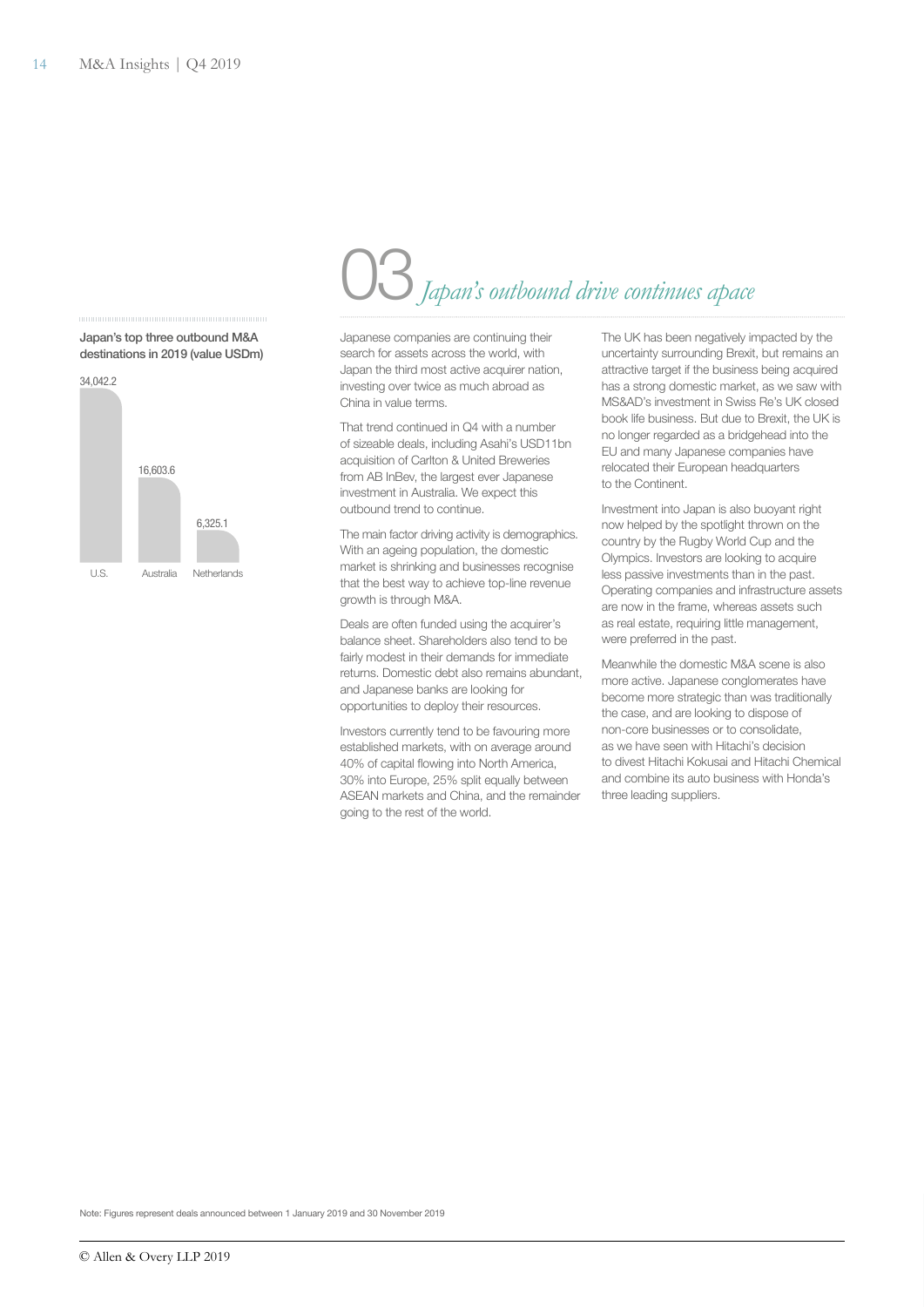



# 03 *Japan's outbound drive continues apace*

Japanese companies are continuing their search for assets across the world, with Japan the third most active acquirer nation, investing over twice as much abroad as China in value terms.

That trend continued in Q4 with a number of sizeable deals, including Asahi's USD11bn acquisition of Carlton & United Breweries from AB InBev, the largest ever Japanese investment in Australia. We expect this outbound trend to continue.

The main factor driving activity is demographics. With an ageing population, the domestic market is shrinking and businesses recognise that the best way to achieve top-line revenue growth is through M&A.

Deals are often funded using the acquirer's balance sheet. Shareholders also tend to be fairly modest in their demands for immediate returns. Domestic debt also remains abundant, and Japanese banks are looking for opportunities to deploy their resources.

Investors currently tend to be favouring more established markets, with on average around 40% of capital flowing into North America, 30% into Europe, 25% split equally between ASEAN markets and China, and the remainder going to the rest of the world.

The UK has been negatively impacted by the uncertainty surrounding Brexit, but remains an attractive target if the business being acquired has a strong domestic market, as we saw with MS&AD's investment in Swiss Re's UK closed book life business. But due to Brexit, the UK is no longer regarded as a bridgehead into the EU and many Japanese companies have relocated their European headquarters to the Continent.

Investment into Japan is also buoyant right now helped by the spotlight thrown on the country by the Rugby World Cup and the Olympics. Investors are looking to acquire less passive investments than in the past. Operating companies and infrastructure assets are now in the frame, whereas assets such as real estate, requiring little management, were preferred in the past.

Meanwhile the domestic M&A scene is also more active. Japanese conglomerates have become more strategic than was traditionally the case, and are looking to dispose of non-core businesses or to consolidate, as we have seen with Hitachi's decision to divest Hitachi Kokusai and Hitachi Chemical and combine its auto business with Honda's three leading suppliers.

Note: Figures represent deals announced between 1 January 2019 and 30 November 2019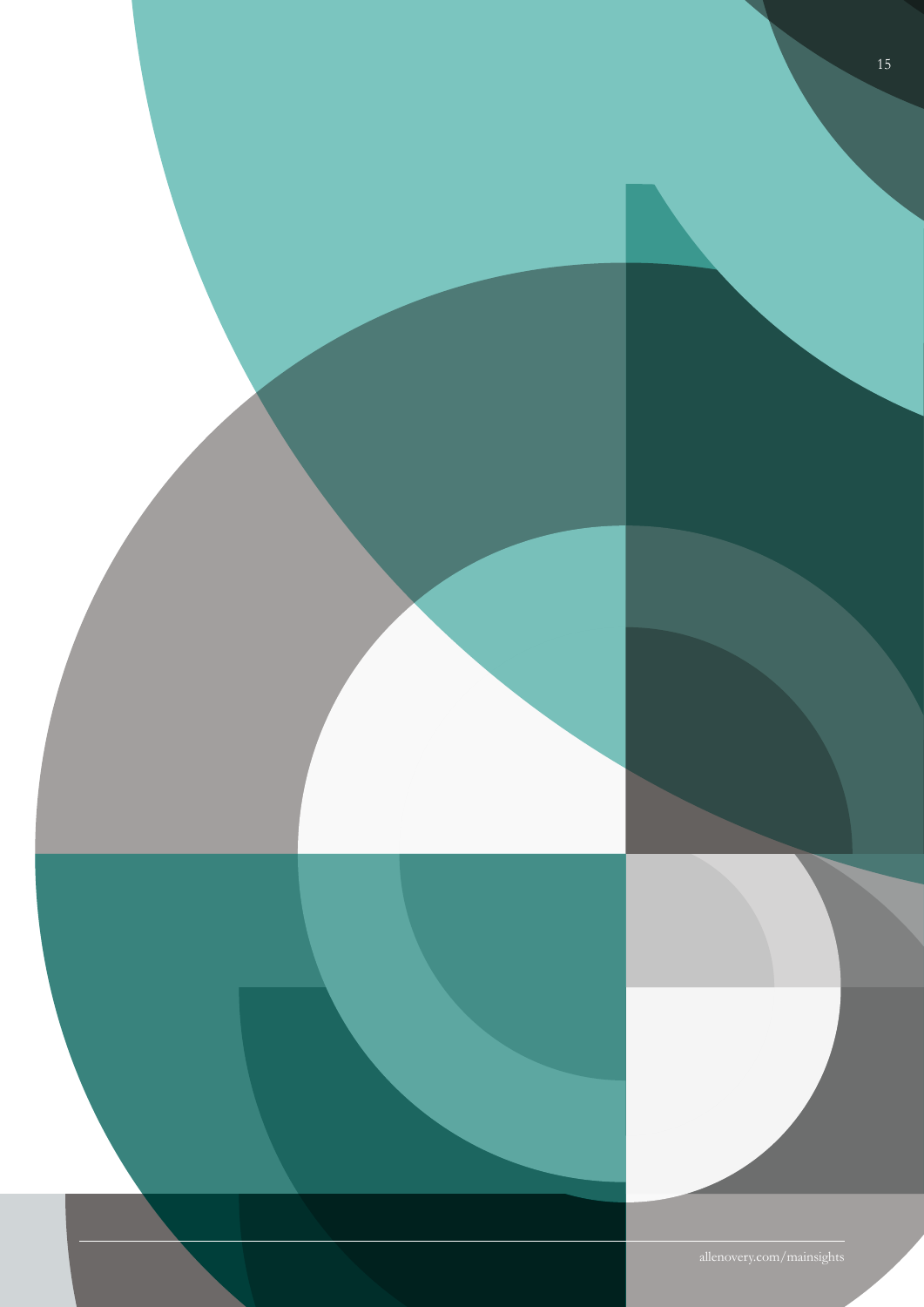